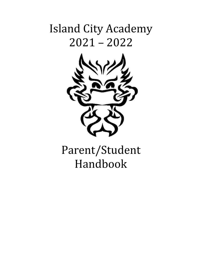## Island City Academy 2021 – 2022



# Parent/Student Handbook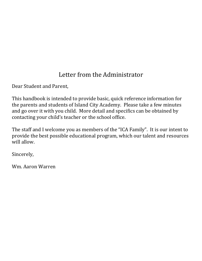## Letter from the Administrator

Dear Student and Parent,

This handbook is intended to provide basic, quick reference information for the parents and students of Island City Academy. Please take a few minutes and go over it with you child. More detail and specifics can be obtained by contacting your child's teacher or the school office.

The staff and I welcome you as members of the "ICA Family". It is our intent to provide the best possible educational program, which our talent and resources will allow.

Sincerely,

Wm. Aaron Warren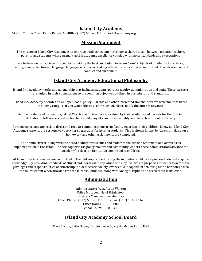## **Island City Academy**

6421 S. Clinton Trail · Eaton Rapids, MI 48827 (517) 663 – 0111 · islandcityacademy.org

## **Mission Statement**

The mission of Island City Academy is to improve pupil achievement through a shared vision between talented teachers, parents, and students whose primary goal is academic excellence coupled with moral standards and expectations.

We believe we can achieve this goal by providing the best curriculum in seven "core" subjects of: mathematics, science, history, geography, foreign language, language arts, fine arts, along with moral education accomplished through standards of conduct and curriculum.

## **Island City Academy Educational Philosophy**

Island City Academy works as a partnership that includes students, parents, faculty, administration and staff. These partners are united in their commitment to the common objectives outlined in our mission and standards.

Island City Academy operates on an "open door" policy. Parents and other interested stakeholders are welcome to visit the Academy campus. If you would like to visit the school, please notify the office in advance.

As role models and instructors, Island City Academy teachers are valued by their students and parents for their caring attitudes. Intelligence, creative teaching ability, loyalty, and responsibility are characteristics of the faculty.

Parents expect and appreciate direct and regular communications from faculty regarding their children. Likewise, Island City Academy's parents are responsive to teacher suggestions for helping students. This is shown in part by parents making sure homework and other assignments are completed.

The administrator, along with the board of directors, verifies and endorses the Mission Statement and oversees its implementation in the school. In their capacities as policy makers and community leaders, these administrators advance the Academy's role as an institution committed to children.

At Island City Academy we are committed to the philosophy of educating the individual child by helping each student acquire knowledge. By providing standards of ethical and moral values by which one may live, we are preparing students to accept the privileges and responsibilities of citizenship in a democratic society. Every child is capable of achieving his or her potential to the fullest extent when afforded respect, fairness, kindness, along with loving discipline and accelerated instruction.

#### . **Administration**

Administrator: Wm. Aaron Warren Office Manager: Heidi Brininstool Business Manager: Sue Sherman Office Phone: (517) 663 – 0111 Office Fax: (517) 663 – 0167 Office Hours: 7:30 – 4:00 School Hours: 8:10 – 3:15

## **Island City Academy School Board**

Dave Sysum, Cathy Sayer, Barb Gruesbeck, Krysta McGee, Laura Hall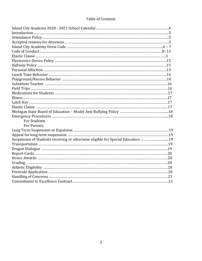## Table of Contents

| <b>For Students</b>                                                             |  |
|---------------------------------------------------------------------------------|--|
| <b>For Parents</b>                                                              |  |
|                                                                                 |  |
|                                                                                 |  |
| Suspension of Students receiving or otherwise eligible for Special Education 19 |  |
|                                                                                 |  |
|                                                                                 |  |
|                                                                                 |  |
|                                                                                 |  |
|                                                                                 |  |
|                                                                                 |  |
|                                                                                 |  |
|                                                                                 |  |
|                                                                                 |  |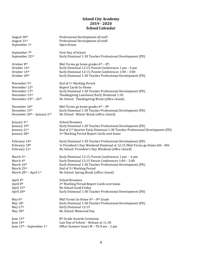#### **Island City Academy 2019 - 2020 School Calendar**

| August 30th                 | Professional Development all staff                                                        |
|-----------------------------|-------------------------------------------------------------------------------------------|
| August 31st                 | Professional Development all staff                                                        |
|                             |                                                                                           |
| September 1st               | Open House                                                                                |
|                             |                                                                                           |
| September 7th               | First Day of School                                                                       |
| September 22nd              | Early Dismissal 1:30 Teacher Professional Development (PD)                                |
|                             |                                                                                           |
| October 8th                 | Mid-Terms go home grades $6th - 8th$ ,                                                    |
|                             |                                                                                           |
| October 14th                | Early Dismissal 12:15, Parent Conferences 1 pm - 6 pm                                     |
| October 15th                | Early Dismissal 12:15, Parent Conferences 1:00 - 3:00                                     |
| October 20th                | Early Dismissal 1:30 Teacher Professional Development (PD)                                |
|                             |                                                                                           |
| November 5th                | End of 1 <sup>st</sup> Marking Period                                                     |
| November 12th               | Report Cards Go Home                                                                      |
|                             |                                                                                           |
| November 17th               | Early Dismissal 1:30 Teacher Professional Development (PD)                                |
| November 23rd               | Thanksgiving Luncheon/Early Dismissal 1:30                                                |
| November 24th - 26th        | No School: Thanksgiving Break (office closed)                                             |
|                             |                                                                                           |
| December 10 <sup>th</sup>   | Mid-Terms go home grades $6th - 8th$                                                      |
| December 15th               | Early Dismissal 1:30 Teacher Professional Development (PD)                                |
|                             |                                                                                           |
| December 20th - January 2nd | No School: Winter Break (office closed)                                                   |
|                             |                                                                                           |
| January 3rd                 | <b>School Resumes</b>                                                                     |
| January 19th                | Early Dismissal 1:30 Teacher Professional Development (PD)                                |
| January 21st                | End of 2 <sup>nd</sup> Quarter Early Dismissal 1:30 Teacher Professional Development (PD) |
| January 28th                | 2 <sup>nd</sup> Marking Period Report Cards sent home                                     |
|                             |                                                                                           |
| February 16th               | Early Dismissal 1:30 Teacher Professional Development (PD)                                |
|                             |                                                                                           |
| February 18th               | 1/2 President's Day Weekend Dismissal at 12:15/Mid-Terms go Home 6th - 8th                |
| February 21st               | No School: President's Day Weekend (office closed)                                        |
|                             |                                                                                           |
| March 3rd                   | Early Dismissal 12:15, Parent Conferences 1 pm - 6 pm                                     |
| March 4th                   | Early Dismissal 12:15 Parent Conferences 1:00 - 3:00                                      |
| March 16th                  | Early Dismissal 1:30 Teacher Professional Development (PD)                                |
| March 25th                  | End of 3rd Marking Period                                                                 |
|                             |                                                                                           |
| March 28th - April 1st      | No School: Spring Break (office closed)                                                   |
|                             |                                                                                           |
| April 4th                   | <b>School Resumes</b>                                                                     |
| April 8th                   | 3rd Marking Period Report Cards sent home                                                 |
| April 15th                  | No School Good Friday                                                                     |
| April 20th                  | Early Dismissal 1:30 Teacher Professional Development (PD)                                |
|                             |                                                                                           |
| May 6th                     | Mid-Terms Go Home 6th - 8th Grade                                                         |
|                             |                                                                                           |
| May 18h                     | Early Dismissal 1:30 Teacher Professional Development (PD)                                |
| May 27th                    | Early Dismissal 12:15                                                                     |
| May 30th                    | No School: Memorial Day                                                                   |
|                             |                                                                                           |
| June 13th                   | 8 <sup>th</sup> Grade Awards Ceremony                                                     |
| June 14th                   | Last Day of School - Release at 11:30                                                     |
| June 15th - September 1st   | Office Summer hours M - Th 8 am - 2 pm                                                    |
|                             |                                                                                           |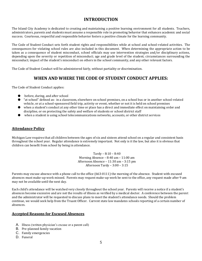## **INTRODUCTION**

The Island City Academy is dedicated to creating and maintaining a positive learning environment for all students. Teachers, administrators, parents and students must assume a responsible role in promoting behavior that enhances academic and social success. Courteous, respectful and responsible behavior fosters a positive climate for the learning community.

The Code of Student Conduct sets forth student rights and responsibilities while at school and school-related activities. The consequences for violating school rules are also included in this document. When determining the appropriate action to be taken as a consequence of student misconduct, school officials may use intervention strategies and/or disciplinary actions, depending upon the severity or repetition of misconduct; age and grade level of the student; circumstances surrounding the misconduct; impact of the student's misconduct on others in the school community, and any other relevant factors.

The Code of Student Conduct will be administered fairly, without partiality or discrimination.

## **WHEN AND WHERE THE CODE OF STUDENT CONDUCT APPLIES:**

The Code of Student Conduct applies:

- before, during, and after school
- "at school" defined as: in a classroom, elsewhere on school premises, on a school bus or in another school-related vehicle, or at a school-sponsored field trip, activity or event, whether or not it is held on school premises
- when a student's conduct at any other time or place has a direct and immediate effect on maintaining order and discipline, or on protecting the safety and welfare of students or school district staff
- when a student is using school telecommunications networks, accounts, or other district services

#### **Attendance Policy**

Michigan Law requires that all children between the ages of six and sixteen attend school on a regular and consistent basis throughout the school year. Regular attendance is extremely important. Not only is it the law, but also it is obvious that children can benefit from school by being in attendance.

> Tardy – 8:10 – 8:40 Morning Absence – 8:40 am – 11:00 am Afternoon Absence – 11:30 am – 3:15 pm Afternoon Tardy – 3:00 – 3:15

Parents may excuse absence with a phone call to the office (663-0111) the morning of the absence. Student with excused absences must make-up work missed. Parents may request make-up work be sent to the office, any request made after 9 am may not be available until the next day.

Each child's attendance will be watched very closely throughout the school year. Parents will receive a notice if a student's absences become excessive and are not the results of illness as verified by a medical doctor. A conference between the parent and the administrator will be requested to discuss plans to meet the student's attendance needs. Should the problem continue, we would seek help from the Truant Officer. Current state law mandates schools reporting of a certain number of absences.

#### **Accepted Reasons for Excused Absences**

- A. Illness (written physician's excuse or a parent call)
- B. Pre-planned family vacation
- C. Family emergencies
- D. Funeral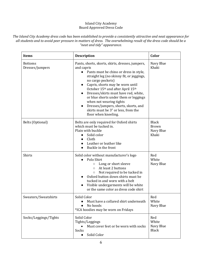#### Island City Academy Board Approved Dress Code

*The Island City Academy dress code has been established to provide a consistently attractive and neat appearance for all students and to avoid peer pressure in matters of dress. The overwhelming result of the dress code should be a "neat and tidy" appearance.*

| <b>Items</b>                      | <b>Description</b>                                                                                                                                                                                                                                                                                                                                                                                                                                                                               | Color                                              |
|-----------------------------------|--------------------------------------------------------------------------------------------------------------------------------------------------------------------------------------------------------------------------------------------------------------------------------------------------------------------------------------------------------------------------------------------------------------------------------------------------------------------------------------------------|----------------------------------------------------|
| <b>Bottoms</b><br>Dresses/jumpers | Pants, shorts, skorts, skirts, dresses, jumpers,<br>and capris<br>Pants must be chino or dress in style,<br>straight leg (no skinny fit, or jeggings,<br>no cargo pockets)<br>Capris, shorts may be worn until<br>$\bullet$<br>October 15th and after April 15th<br>Dresses/skirts must have red, white,<br>or blue shorts under them or leggings<br>when not wearing tights<br>Dresses/jumpers, shorts, skorts, and<br>$\bullet$<br>skirts must be 3" or less, from the<br>floor when kneeling. | Navy Blue<br>Khaki                                 |
| Belts (Optional)                  | Belts are only required for Oxford shirts<br>which must be tucked in.<br>Plain with buckle<br>Solid color<br>Cloth<br>Leather or leather like<br>Buckle in the front                                                                                                                                                                                                                                                                                                                             | <b>Black</b><br><b>Brown</b><br>Navy Blue<br>Khaki |
| Shirts                            | Solid color without manufacturer's logo<br>Polo Shirt<br>Long or short sleeve<br>$\circ$<br>At least 2 buttons<br>$\circ$<br>Not required to be tucked in<br>$\bigcirc$<br>Oxford button down shirts must be<br>tucked in and worn with a belt<br>Visible undergarments will be white<br>or the same color as dress code shirt                                                                                                                                                                   | Red<br>White<br>Navy Blue                          |
| Sweaters/Sweatshirts              | Solid Color<br>Must have a collared shirt underneath<br>No hoods<br>*ICA hoodies may be worn on Fridays                                                                                                                                                                                                                                                                                                                                                                                          | Red<br>White<br>Navy Blue                          |
| Socks/Leggings/Tights             | Solid Color<br>Tights/Leggings<br>Must cover feet or be worn with socks<br>$\bullet$<br>Socks<br>Solid Color                                                                                                                                                                                                                                                                                                                                                                                     | Red<br>White<br>Navy Blue<br><b>Black</b>          |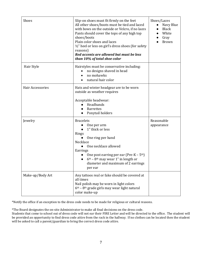| Shoes            | Slip-on shoes must fit firmly on the feet<br>All other shoes/boots must be tied and laced<br>with bows on the outside or Velcro, if no laces<br>Pants should cover the tops of any high top<br>shoes/boots<br>Plain color shoes and laces<br>1/2" heel or less on girl's dress shoes (for safety<br>reasons)<br>Red accents are allowed but must be less<br>than 10% of total shoe color | Shoes/Laces<br>Navy Blue<br><b>Black</b><br>White<br>Gray<br><b>Brown</b> |
|------------------|------------------------------------------------------------------------------------------------------------------------------------------------------------------------------------------------------------------------------------------------------------------------------------------------------------------------------------------------------------------------------------------|---------------------------------------------------------------------------|
| Hair Style       | Hairstyles must be conservative including:<br>no designs shaved in head<br>no mohawks<br>natural hair color                                                                                                                                                                                                                                                                              |                                                                           |
| Hair Accessories | Hats and winter headgear are to be worn<br>outside as weather requires<br>Acceptable headwear:<br>Headbands<br><b>Barrettes</b><br>Ponytail holders                                                                                                                                                                                                                                      |                                                                           |
| Jewelry          | <b>Bracelets</b><br>One per arm<br>1" thick or less<br>Rings<br>One ring per hand<br>Necklace<br>One necklace allowed<br>Earrings<br>One post earring per ear (Pre-K – $5th$ )<br>$6th$ – 8 <sup>th</sup> may wear 1" in length or<br>diameter and maximum of 2 earrings<br>per ear                                                                                                      | Reasonable<br>appearance                                                  |
| Make-up/Body Art | Any tattoos real or fake should be covered at<br>all times<br>Nail polish may be worn in light colors<br>$6th$ – 8 <sup>th</sup> grade girls may wear light natural<br>color make-up                                                                                                                                                                                                     |                                                                           |

\*Notify the office if an exception to the dress code needs to be made for religious or cultural reasons.

\*The Board designates the on-site Administrator to make all final decisions on the dress code.

Students that come to school out of dress code will not ear their FIRE Letter and will be directed to the office. The student will be provided an opportunity to find dress code attire from the rack in the hallway. If no clothes can be located then the student will be asked to call a parent/guardian to bring the correct dress code attire.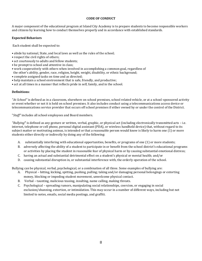#### **CODE OF CONDUCT**

A major component of the educational program at Island City Academy is to prepare students to become responsible workers and citizens by learning how to conduct themselves properly and in accordance with established standards.

#### **Expected Behaviors**

Each student shall be expected to:

- abide by national, State, and local laws as well as the rules of the school;
- respect the civil rights of others;
- act courteously to adults and fellow students;
- be prompt to school and attentive in class;
- work cooperatively with others when involved in accomplishing a common goal, regardless of the other's ability, gender, race, religion, height, weight, disability, or ethnic background;
- complete assigned tasks on time and as directed;
- help maintain a school environment that is safe, friendly, and productive;
- act at all times in a manner that reflects pride in self, family, and in the school.

#### **Definitions:**

*"At School"* is defined as in a classroom, elsewhere on school premises, school related vehicle, or at a school-sponsored activity or event whether or not it is held on school premises. It also includes conduct using a telecommunications access device or telecommunications service provider that occurs off school premises if either owned by or under the control of the District.

"*Staff"* includes all school employees and Board members.

*"Bullying***"** is defined as any gesture or written, verbal, graphic, or physical act (including electronically transmitted acts – i.e. internet, telephone or cell phone, personal digital assistant (PDA), or wireless handheld device) that, without regard to its subject matter or motivating animus, is intended or that a reasonable person would know is likely to harm one (1) or more students either directly or indirectly by doing any of the following:

- A. substantially interfering with educational opportunities, benefits, or programs of one (1) or more students;
- B. adversely affecting the ability of a student to participate in or benefit from the school district's educational programs or activities by placing the student in reasonable fear of physical harm or by causing substantial emotional distress;
- C. having an actual and substantial detrimental effect on a student's physical or mental health; and/or
- D. causing substantial disruption in, or substantial interference with, the orderly operation of the school.

Bullying can be physical, verbal, psychological, or a combination of all three. Some examples of bullying are:

- A. Physical hitting, kicking, spitting, pushing, pulling; taking and/or damaging personal belongings or extorting money, blocking or impeding student movement, unwelcome physical contact.
- B. Verbal taunting, malicious teasing, insulting, name calling, making threats.
- C. Psychological spreading rumors, manipulating social relationships, coercion, or engaging in social exclusion/shunning, extortion, or intimidation. This may occur in a number of different ways, including but not limited to notes, emails, social media postings, and graffiti.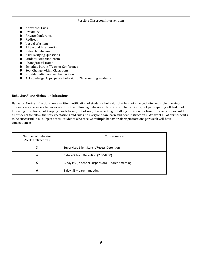|                                    | Possible Classroom Interventions                         |
|------------------------------------|----------------------------------------------------------|
| Nonverbal Cues                     |                                                          |
| Proximity                          |                                                          |
| Private Conference                 |                                                          |
| Redirect                           |                                                          |
| Verbal Warning                     |                                                          |
| 15 Second Intervention             |                                                          |
| Reteach Behavior                   |                                                          |
| Ask Clarifying Questions           |                                                          |
| <b>Student Reflection Form</b>     |                                                          |
| Phone/Email Home                   |                                                          |
| Schedule Parent/Teacher Conference |                                                          |
| Seat Change within Classroom       |                                                          |
| Provide Individualized Instruction |                                                          |
|                                    | Acknowledge Appropriate Behavior of Surrounding Students |

#### **Behavior Alerts/Behavior Infractions**

Behavior Alerts/Infractions are a written notification of student's behavior that has not changed after multiple warnings. Students may receive a behavior alert for the following behaviors: blurting out, bad attitude, not participating, off task, not following directions, not keeping hands to self, out of seat, disrespecting or talking during work time. It is very important for all students to follow the set expectations and rules, so everyone can learn and hear instructions. We want all of our students to be successful in all subject areas. Students who receive multiple behavior alerts/infractions per week will have consequences.

| Number of Behavior<br>Alerts/Infractions | Consequence                                         |
|------------------------------------------|-----------------------------------------------------|
| 3                                        | Supervised Silent Lunch/Recess Detention            |
| 4                                        | Before School Detention (7:30-8:00)                 |
|                                          | 1/2 day ISS (In School Suspension) + parent meeting |
| 6                                        | 1 day ISS + parent meeting                          |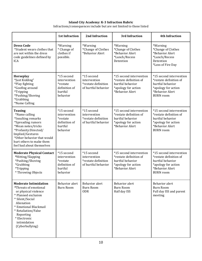#### **Island City Academy: K-3 Infraction Rubric**

Infractions/consequences include but are not limited to those listed

|                                                                                                                                                                                                                                                       | <b>1st Infraction</b>                                                          | 2nd Infraction                                                           | 3rd Infraction                                                                                                  | <b>4th Infraction</b>                                                                                                               |
|-------------------------------------------------------------------------------------------------------------------------------------------------------------------------------------------------------------------------------------------------------|--------------------------------------------------------------------------------|--------------------------------------------------------------------------|-----------------------------------------------------------------------------------------------------------------|-------------------------------------------------------------------------------------------------------------------------------------|
| <b>Dress Code</b><br>*Student wears clothes that<br>are not within the dress<br>code guidelines defined by<br><b>ICA</b>                                                                                                                              | *Warning<br>* Change of<br>clothes if<br>possible.                             | *Warning<br>*Change of Clothes<br>*Behavior Alert                        | *Warning<br>*Change of Clothes<br>*Behavior Alert<br>*Lunch/Recess<br>Detention                                 | *Warning<br>*Change of Clothes<br>*Behavior Alert<br>*Lunch/Recess<br>Detention<br>*Loss of Fire Day                                |
| Horseplay<br>*Just Kidding"<br>*Play fighting<br>*Goofing around<br>*Tripping<br>*Pushing/Shoving<br>*Grabbing<br>*Name Calling                                                                                                                       | *15 second<br>intervention<br>*restate<br>definition of<br>hurtful<br>behavior | *15 second<br>intervention<br>*restate definition<br>of hurtful behavior | *15 second intervention<br>*restate definition of<br>hurtful behavior<br>*apology for action<br>*Behavior Alert | *15 second intervention<br>*restate definition of<br>hurtful behavior<br>*apology for action<br>*Behavior Alert<br><b>BURN</b> room |
| <b>Teasing</b><br>*Name calling<br>*Insulting remarks<br>*Spreading rumors<br>*Mean notes/tricks<br>*Profanity:Directed/<br>Implied/Gestures<br>*Other behavior that would<br>hurt others to make them<br>feel bad about themselves                   | *15 second<br>intervention<br>*restate<br>definition of<br>hurtful<br>behavior | *15 second<br>intervention<br>*restate definition<br>of hurtful behavior | *15 second intervention<br>*restate definition of<br>hurtful behavior<br>*apology for action<br>*Behavior Alert | *15 second intervention<br>*restate definition of<br>hurtful behavior<br>*apology for action<br>*Behavior Alert<br><b>BURN</b> room |
| <b>Moderate Physical Contact</b><br>*Hitting/Slapping<br>*Pushing/Shoving<br><i>*</i> Grabbing<br>*Tripping<br>* Throwing Objects                                                                                                                     | *15 second<br>intervention<br>*restate<br>definition of<br>hurtful<br>behavior | *15 second<br>intervention<br>*restate definition<br>of hurtful behavior | *15 second intervention<br>*restate definition of<br>hurtful behavior<br>*apology for action<br>*Behavior Alert | *15 second intervention<br>*restate definition of<br>hurtful behavior<br>*apology for action<br>*Behavior Alert<br><b>BURN</b> room |
| <b>Moderate Intimidation</b><br>*Threats of emotional<br>or physical violence<br>* Planned exclusion<br>* Silent/Social<br>Alienation<br>* Emotional Blackmail<br>* Retaliation/False<br>Reporting<br>* Electronic<br>intimidation<br>(Cyberbullying) | <b>Behavior</b> alert<br><b>Burn Room</b>                                      | Behavior alert<br><b>Burn Room</b><br><b>ODR</b>                         | <b>Behavior</b> alert<br><b>Burn Room</b><br>Half day ISS                                                       | <b>Behavior</b> alert<br><b>Burn Room</b><br>Full day ISS and parent<br>meeting                                                     |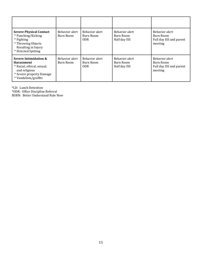| <b>Severe Physical Contact</b><br>* Punching/Kicking<br>* Fighting<br>* Throwing Objects<br>Resulting in Injury<br>* Directed Spitting        | Behavior alert<br>Burn Room | Behavior alert<br>Burn Room<br>0DR. | Behavior alert<br>Burn Room<br>Half day ISS | Behavior alert<br>Burn Room<br>Full day ISS and parent<br>meeting |
|-----------------------------------------------------------------------------------------------------------------------------------------------|-----------------------------|-------------------------------------|---------------------------------------------|-------------------------------------------------------------------|
| Severe Intimidation &<br><b>Harassment</b><br>* Racial, ethical, sexual,<br>and religious<br>* Severe property Damage<br>* Vandalism/graffiti | Behavior alert<br>Burn Room | Behavior alert<br>Burn Room<br>0DR. | Behavior alert<br>Burn Room<br>Half day ISS | Behavior alert<br>Burn Room<br>Full day ISS and parent<br>meeting |

\*LD: Lunch Detention

\*ODR: Office Discipline Referral

BURN: Better Understand Rule Now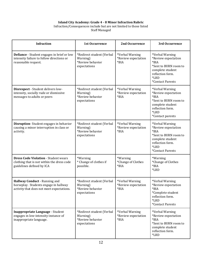#### **Island City Academy: Grade 4 - 8 Minor Infraction Rubric**

#### Infraction/Consequences include but are not limited to those listed Staff Managed

| <b>Infraction</b>                                                                                                      | <b>1st Occurrence</b>                                                     | 2nd Occurrence                                   | 3rd Occurrence                                                                                                                                              |
|------------------------------------------------------------------------------------------------------------------------|---------------------------------------------------------------------------|--------------------------------------------------|-------------------------------------------------------------------------------------------------------------------------------------------------------------|
| Defiance - Student engages in brief or low<br>intensity failure to follow directions or<br>reasonable request.         | *Redirect student (Verbal<br>Warning)<br>*Review behavior<br>expectations | *Verbal Warning<br>*Review expectation<br>*BIA   | *Verbal Warning<br>*Review expectation<br>*BIA<br>*Sent to BURN room to<br>complete student<br>reflection form.<br>$*LRD$<br>*Contact Parents               |
| Disrespect - Student delivers low-<br>intensity, socially rude or dismissive<br>messages to adults or peers            | *Redirect student (Verbal<br>Warning)<br>*Review behavior<br>expectations | *Verbal Warning<br>*Review expectation<br>*BIA   | *Verbal Warning<br>*Review expectation<br>*BIA<br>*Sent to BURN room to<br>complete student<br>reflection form.<br><i><b>*LRD</b></i><br>*Contact parents   |
| Disruption-Student engages in behavior<br>causing a minor interruption in class or<br>activity.                        | *Redirect student (Verbal<br>Warning)<br>*Review behavior<br>expectations | *Verbal Warning<br>*Review expectation<br>*BIA   | *Verbal Warning<br>*Review expectation<br>$*BIA$<br>*Sent to BURN room to<br>complete student<br>reflection form.<br><i><b>*LRD</b></i><br>*Contact Parents |
| <b>Dress Code Violation - Student wears</b><br>clothing that is not within the dress code<br>guidelines defined by ICA | *Warning<br>* Change of clothes if<br>possible.                           | *Warning<br>*Change of Clothes<br>*BIA           | *Warning<br>*Change of Clothes<br>$*BIA$<br>*LRD                                                                                                            |
| Hallway Conduct - Running and<br>horseplay. Students engage in hallway<br>activity that does not meet expectations.    | *Redirect student (Verbal<br>Warning)<br>*Review behavior<br>expectations | *Verbal Warning<br>*Review expectation<br>$*BIA$ | *Verbal Warning<br>*Review expectation<br>$*BIA$<br>*Complete student<br>reflection form.<br>$*LRD$<br>*Contact Parents                                     |
| Inappropriate Language - Student<br>engages in low-intensity instance of<br>inappropriate language.                    | *Redirect student (Verbal<br>Warning)<br>*Review behavior<br>expectations | *Verbal Warning<br>*Review expectation<br>*BIA   | *Verbal Warning<br>*Review expectation<br>*BIA<br>*Sent to BURN room to<br>complete student<br>reflection form.<br>$*LRD$                                   |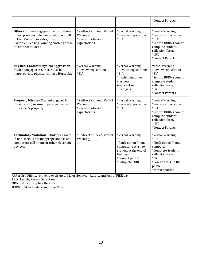|                                                                                                                                                                                            |                                                                           |                                                                                                                                                   | *Contact Parents                                                                                                                                                                  |
|--------------------------------------------------------------------------------------------------------------------------------------------------------------------------------------------|---------------------------------------------------------------------------|---------------------------------------------------------------------------------------------------------------------------------------------------|-----------------------------------------------------------------------------------------------------------------------------------------------------------------------------------|
| Other - Student engages in any additional<br>minor problem behaviors that do not fall<br>in the other minor categories.<br>Example: Teasing, Yanking clothing down<br>off another student. | *Redirect student (Verbal<br>Warning)<br>*Review behavior<br>expectations | *Verbal Warning<br>*Review expectation<br>$*BIA$                                                                                                  | *Verbal Warning<br>*Review expectation<br>$*BIA$<br>*Sent to BURN room to<br>complete student<br>reflection form.<br><i><b>*LRD</b></i><br>*Contact Parents                       |
| <b>Physical Contact/Physical Aggression -</b><br>Student engages in non-serious, but<br>inappropriate physical contact. Horseplay                                                          | *Verbal Warning<br>*Review expectation<br>$*BIA$                          | *Verbal Warning<br>*Review expectations<br>$*BIA$<br>*Implement other<br>classroom<br>intervention<br>strategies                                  | Verbal Warning<br>*Review expectation<br>$*BIA$<br>*Sent to BURN room to<br>complete student<br>reflection form.<br><i><b>*LRD</b></i><br>*Contact Parents                        |
| Property Misuse - Student engages in<br>low-intensity misuse of personal, other's<br>or teacher's property.                                                                                | *Redirect student (Verbal<br>Warning)<br>*Review behavior<br>expectations | *Verbal Warning<br>*Review expectation<br>$*BIA$                                                                                                  | *Verbal Warning<br>*Review expectation<br>$*BIA$<br>*Sent to BURN room to<br>complete student<br>reflection form.<br>*LRD<br>*Contact Parents                                     |
| <b>Technology Violation - Student engages</b><br>in non-serious but inappropriate use of<br>computers, cell phone or other electronic<br>devices.                                          | *Redirect student (Verbal<br>Warning)                                     | *Verbal Warning<br>$*BIA$<br>*Confiscation Phone,<br>computer, return to<br>student at the end of<br>the day.<br>*Contact parent<br>*Complete ODR | *Verbal Warning<br>$*BIA$<br>*Confiscation Phone,<br>computer,<br>*Complete Student<br>reflection form<br><i><b>*LRD</b></i><br>*Parent picks up the<br>phone,<br>*contact parent |

\*After 3rd Offence, student levels up to Major Behavior Rubric, and loss of FIRE day

LRD: Lunch/Recess Detention

ODR: Office Discipline Referral

BURN: Better Understand Rule Now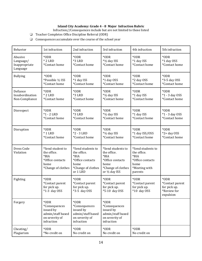#### **Island City Academy: Grade 4 - 8 Major Infraction Rubric**

Infraction//Consequences include but are not limited to those listed

- ❏ Teacher Completes Office Discipline Referral (ODR)
- ❏ Consequences accumulate over the course of the school year

| Behavior                                          | 1st infraction                                                                            | 2nd infraction                                                                                         | 3rd infraction                                                                                               | 4th infraction                                                                                   | 5th infraction                                                      |
|---------------------------------------------------|-------------------------------------------------------------------------------------------|--------------------------------------------------------------------------------------------------------|--------------------------------------------------------------------------------------------------------------|--------------------------------------------------------------------------------------------------|---------------------------------------------------------------------|
| Abusive<br>Language/<br>Inappropriate<br>Language | *ODR<br>$*$ 2 LRD<br>*Contact home                                                        | *ODR<br><b>*3 LRD</b><br>*Contact home                                                                 | *ODR<br>*1/2 day ISS<br>*Contact home                                                                        | *ODR<br>*1 day ISS<br>*Contact home                                                              | *ODR<br>*1 day OSS<br>*Contact home                                 |
| <b>Bullying</b>                                   | *ODR                                                                                      | *ODR                                                                                                   | *ODR                                                                                                         | *ODR                                                                                             | *ODR                                                                |
|                                                   | *Possible 1/2 ISS                                                                         | *1 day ISS                                                                                             | *1 day OSS                                                                                                   | *2 day OSS                                                                                       | *3-5 day OSS                                                        |
|                                                   | *Contact home                                                                             | *Contact home                                                                                          | *Contact home                                                                                                | *Contact home                                                                                    | *Contact home                                                       |
| Defiance                                          | *ODR                                                                                      | *ODR                                                                                                   | *ODR                                                                                                         | *ODR                                                                                             | *ODR                                                                |
| Insubordination                                   | $*$ 2 LRD                                                                                 | <b>*3 LRD</b>                                                                                          | *1/2 day ISS                                                                                                 | *1 day ISS                                                                                       | *1 - 3 day OSS                                                      |
| Non-Compliance                                    | *Contact home                                                                             | *Contact home                                                                                          | *Contact home                                                                                                | *Contact home                                                                                    | *Contact home                                                       |
| Disrespect                                        | *ODR                                                                                      | *ODR                                                                                                   | *ODR                                                                                                         | *ODR                                                                                             | *ODR                                                                |
|                                                   | $*1 - 2$ LRD                                                                              | <b>*3 LRD</b>                                                                                          | *1/2 day ISS                                                                                                 | *1 day ISS                                                                                       | *1 - 3 day OSS                                                      |
|                                                   | *Contact home                                                                             | *Contact home                                                                                          | *Contact home                                                                                                | *Contact home                                                                                    | *Contact home                                                       |
| Disruption                                        | $*$ ODR                                                                                   | *ODR                                                                                                   | *ODR                                                                                                         | *ODR                                                                                             | *ODR                                                                |
|                                                   | $*$ 1 LRD                                                                                 | $*2 - 3$ LRD                                                                                           | *1/2 day ISS                                                                                                 | *1 day ISS/OSS                                                                                   | $*2+$ day OSS                                                       |
|                                                   | *Contact home                                                                             | *Contact home                                                                                          | *Contact home                                                                                                | *Contact home                                                                                    | *Contact home                                                       |
| Dress Code<br>Violation                           | *Send student to<br>the office.<br>*BIA<br>*Office contacts<br>home<br>*Change of clothes | *Send students to<br>the office.<br>*BIA<br>*Office contacts<br>home<br>*Change of clothes<br>or 1 LRD | *Send students to<br>the office.<br>*BIA<br>*Office contacts<br>home<br>*Change of clothes<br>or 1/2 day ISS | *Send students to<br>the office.<br>*BIA<br>*Office contacts<br>home<br>*Meeting with<br>parents |                                                                     |
| Fighting                                          | *ODR<br>*Contact parent<br>for pick up.<br>$*1-3$ day OSS                                 | *ODR<br>*Contact parent<br>for pick up.<br>*3-5 day OSS                                                | *ODR<br>*Contact parent<br>for pick up.<br>*5-10 day OSS                                                     | *ODR<br>*Contact parent<br>for pick up.<br>*10 day OSS                                           | *ODR<br>*Contact parent<br>for pick up.<br>*Review for<br>expulsion |
| Forgery                                           | *ODR<br>*Consequences<br>issued by<br>admin/staff based<br>on severity of<br>infraction   | *ODR<br>*Consequences<br>issued by<br>admin/staff based<br>on severity of<br>infraction                | *ODR<br>*Consequences<br>issued by<br>admin/staff based<br>on severity of<br>infraction                      |                                                                                                  |                                                                     |
| Cheating/                                         | *ODR                                                                                      | *ODR                                                                                                   | *ODR                                                                                                         | *ODR                                                                                             |                                                                     |
| Plagiarism                                        | *No credit on                                                                             | No credit on                                                                                           | No credit on                                                                                                 | No credit on                                                                                     |                                                                     |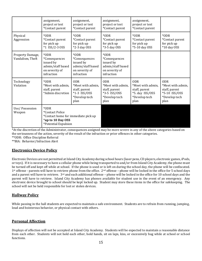|                                      | assignment,<br>project or test<br>*Contact parent                                                                   | assignment,<br>project or test<br>*Contact parent                                              | assignment,<br>project or test<br>*Contact parent                                              | assignment,<br>project or test<br>*Contact parent                                            |                                                                                            |
|--------------------------------------|---------------------------------------------------------------------------------------------------------------------|------------------------------------------------------------------------------------------------|------------------------------------------------------------------------------------------------|----------------------------------------------------------------------------------------------|--------------------------------------------------------------------------------------------|
| Physical<br>Aggression               | $*$ ODR<br>*Contact parent<br>for pick up<br>$*1$ ISS/2-3 OSS                                                       | *ODR<br>*Contact parent<br>for pick up<br>*2-3 day OSS                                         | *ODR<br>*Contact parent<br>for pick up<br>*3-5 day OSS                                         | *ODR<br>*Contact parent<br>for pick up<br>*5-10 day OSS                                      | *ODR<br>*Contact parent<br>for pick up<br>*10 day OSS                                      |
| Property Damage,<br>Vandalism, Theft | *ODR<br>*Consequences<br>issued by<br>admin/staff based<br>on severity of<br>infraction                             | *ODR<br><i>*Consequences</i><br>issued by<br>admin/staff based<br>on severity of<br>infraction | *ODR<br><i>*Consequences</i><br>issued by<br>admin/staff based<br>on severity of<br>infraction |                                                                                              |                                                                                            |
| Technology<br>Violation              | *ODR<br>*Meet with admin,<br>staff, parent<br>*Admin discretion                                                     | <b>ODR</b><br>*Meet with admin.<br>staff, parent<br>$*1-3$ ISS/OSS<br>*Develop tech<br>plan    | <b>ODR</b><br>*Meet with admin,<br>staff, parent<br>$*3-5$ ISS/OSS<br>*Develop tech<br>plan    | <b>ODR</b><br>*Meet with admin.<br>staff, parent<br>*5. day ISS/OSS<br>*Develop tech<br>plan | <b>ODR</b><br>*Meet with admin,<br>staff, parent<br>*5-10 ISS/OSS<br>*Develop tech<br>plan |
| Use/Possession<br>Weapon             | *ODR<br><i>*</i> Contact Police<br>*Contact home for immediate pick up<br>*up to 10 Day OSS<br>*Potential Expulsion |                                                                                                |                                                                                                |                                                                                              |                                                                                            |

\*At the discretion of the Administrator, consequences assigned may be more severe in any of the above categories based on the seriousness of the action, severity of the result of the infraction or prior offences in other categories. \*\*ODR: Office Discipline Referral \*\*BIA: Behavior/Infraction Alert

#### **Electronics Device Policy**

Electronic Devices are not permitted at Island City Academy during school hours (laser pens, CD players, electronic games, iPods, or toys). If it is necessary to have a cellular phone while being transported to and/or from Island City Academy, the phone must be turned off and kept off while at school. If the phone is used or is left on during the school day, the phone will be confiscated.  $1<sup>st</sup>$  offense - parents will have to retrieve phone from the office.  $2<sup>nd</sup>$  offense – phone will be locked in the office for 5 school days and a parent will have to retrieve.  $3^{rd}$  and each additional offense – phone will be locked in the office for 10 school days and the parent will have to retrieve. Island City Academy has phones available for student use in the event of an emergency. Any electronic device brought to school should be kept locked up. Student may store these items in the office for safekeeping. The school will not be held responsible for lost or stolen devices.

#### **Hallway Policy**

While passing in the hall students are expected to maintain a safe environment. Students are to refrain from running, jumping, loud and boisterous behavior, or physical contact with others.

#### **Personal Affection**

Displays of affection will not be accepted at Island City Academy. Students will be expected to maintain a reasonable distance from each other. Students will not hold each other, hold hands, sit on laps, kiss, or excessively hug while at school or school functions.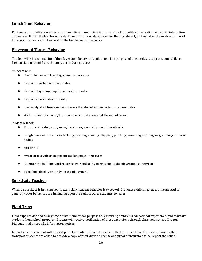#### **Lunch Time Behavior**

Politeness and civility are expected at lunch time. Lunch time is also reserved for polite conversation and social interaction. Students walk into the lunchroom, select a seat in an area designated for their grade, eat, pick-up after themselves, and wait for announcements and dismissal by the lunchroom supervisors.

#### **Playground/Recess Behavior**

The following is a composite of the playground behavior regulations. The purpose of these rules is to protect our children from accidents or mishaps that may occur during recess.

Students will:

- Stay in full view of the playground supervisors
- Respect their fellow schoolmates
- Respect playground equipment and property
- Respect schoolmates' property
- Play safely at all times and act in ways that do not endanger fellow schoolmates
- Walk to their classroom/lunchroom in a quiet manner at the end of recess

Student will not:

- Throw or kick dirt, mud, snow, ice, stones, wood chips, or other objects
- Roughhouse this includes tackling, pushing, shoving, slapping, pinching, wrestling, tripping, or grabbing clothes or bodies
- Spit or bite
- Swear or use vulgar, inappropriate language or gestures
- Re-enter the building until recess is over, unless by permission of the playground supervisor
- Take food, drinks, or candy on the playground

#### **Substitute Teacher**

When a substitute is in a classroom, exemplary student behavior is expected. Students exhibiting, rude, disrespectful or generally poor behaviors are infringing upon the right of other students' to learn.

#### **Field Trips**

Field trips are defined as anytime a staff member, for purposes of extending children's educational experience, and may take students from school property. Parents will receive notification of these excursions through class newsletters, Dragon Dialogue, and or specific information notices.

In most cases the school will request parent volunteer drivers to assist in the transportation of students. Parents that transport students are asked to provide a copy of their driver's license and proof of insurance to be kept at the school.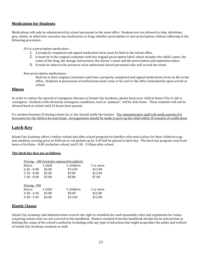#### **Medication for Students**

Medications will only be administered by school personnel in the main office. Students are not allowed to take, distribute, give, inhale, or otherwise consume any medication or drug, whether prescription or non-prescription, without adhering to the following procedure:

If it is a prescription medication –

- 1. A properly completed and signed medication form must be filed in the school office.
- 2. It must be in the original container with the original prescription label, which includes the child's name, the name of the drug, the dosage instructions, the doctor's name and the prescription and expiration dates.
- 3. It must be taken in the presence of an authorized school personnel who will record the event.

Non-prescription medications -

Must be in their original containers and have a properly completed and signed medications form on file in the office. Students in possession of medications must come or be sent to the office immediately upon arrival at school.

#### **Illness**

In order to reduce the spread of contagious diseases at Island City Academy, please keep your child at home if he or she is contagious. Students with obviously contagious conditions, such as "pinkeye", will be sent home. These students will not be allowed back at school until 24 hours have passed.

If a student becomes ill during school, he or she should notify the teacher. The administrative staff will notify parents if it necessary for the child to be sent home. Arrangements should be made to pick-up the child within 30 minutes of notification.

## **Latch Key**

Island City Academy offers a before-school and after-school program for families who need a place for their children to go. Any students arriving prior to 8:00 am or not picked-up by 3:30 will be placed in latch key. The latch key program runs from hours of 6:45am – 8:00 am before school, and 3:30 - 5:45pm after school.

#### **The latch key fees are as follows:**

| 1 child | 2 children | 3 or more                                  |
|---------|------------|--------------------------------------------|
| \$6.00  | \$11.00    | \$15.00                                    |
| \$5.00  | \$9.00     | \$13.00                                    |
| \$3.00  | \$5.00     | \$7.00                                     |
|         |            |                                            |
|         |            |                                            |
| 1 child | 2 children | 3 or more                                  |
| \$5.00  | \$9.00     | \$13.00                                    |
| \$6.00  | \$11.00    | \$15.00                                    |
|         |            | Pricing - AM (includes optional breakfast) |

#### **Elastic Clause**

Island City Academy and administration reserve the right to establish fair and reasonable rules and regulations for issues requiring actions that are not covered in this handbook. Matters omitted from this handbook should not be interpreted as limiting the scope of the school's authority in dealing with any type of infraction that might jeopardize the safety and welfare of Island City Academy students or staff.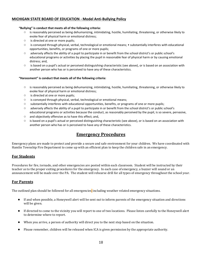#### **MICHIGAN STATE BOARD OF EDUCATION - Model Anti-Bullying Policy**

#### **"Bullying" is conduct that meets all of the following criteria:**

- is reasonably perceived as being dehumanizing, intimidating, hostile, humiliating, threatening, or otherwise likely to evoke fear of physical harm or emotional distress;
- is directed at one or more pupils;
- is conveyed through physical, verbal, technological or emotional means; substantially interferes with educational opportunities, benefits, or programs of one or more pupils;
- adversely affects the ability of a pupil to participate in or benefit from the school district's or public school's educational programs or activities by placing the pupil in reasonable fear of physical harm or by causing emotional distress; and,
- is based on a pupil's actual or perceived distinguishing characteristic (see above), or is based on an association with another person who has or is perceived to have any of these characteristics.

#### **"Harassment" is conduct that meets all of the following criteria:**

- is reasonably perceived as being dehumanizing, intimidating, hostile, humiliating, threatening, or otherwise likely to evoke fear of physical harm or emotional distress;
- is directed at one or more pupils;
- is conveyed through physical, verbal, technological or emotional means;
- substantially interferes with educational opportunities, benefits, or programs of one or more pupils;
- adversely affects the ability of a pupil to participate in or benefit from the school district's or public school's educational programs or activities because the conduct, as reasonably perceived by the pupil, is so severe, pervasive,
- and objectively offensive as to have this effect; and,
- $\circ$  is based on a pupil's actual or perceived distinguishing characteristic (see above), or is based on an association with another person who has or is perceived to have any of these characteristics.

## **Emergency Procedures**

Emergency plans are made to protect and provide a secure and safe environment for your children. We have coordinated with Hamlin Township Fire Department to come up with an efficient plan to keep the children safe in an emergency.

#### **For Students**

Procedures for fire, tornado, and other emergencies are posted within each classroom. Student will be instructed by their teacher as to the proper exiting procedures for the emergency. In each case of emergency, a buzzer will sound or an announcement will be made over the PA. The student will rehearse drill for all types of emergency throughout the school year.

#### **For Parents**

The outlined plan should be followed for all emergencies including weather related emergency situations.

- If and when possible, a Honeywell alert will be sent out to inform parents of the emergency situation and directions will be given.
- If directed to come to the vicinity you will report to one of two locations. Please listen carefully to the Honeywell alert to determine where to report.
- When you arrive, a person of authority will direct you to the next step based on the situation.
- Please remember, children will be released when ICA is given permission by the appropriate authority.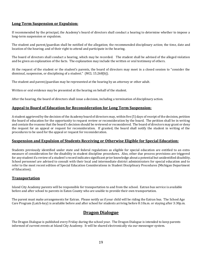#### **Long Term Suspension or Expulsion:**

If recommended by the principal, the Academy's board of directors shall conduct a hearing to determine whether to impose a long-term suspension or expulsion.

The student and parent/guardian shall be notified of the allegation; the recommended disciplinary action; the time, date and location of the hearing; and of their right to attend and participate in the hearing.

The board of directors shall conduct a hearing, which may be recorded. The student shall be advised of the alleged violation and be given an explanation of the facts. The explanation may include the written or oral testimony of others.

At the request of the student or the student's parents, the board of directors may meet in a closed session to "consider the dismissal, suspension, or disciplining of a student." (MCL 15.268[b]).

The student and parent/guardian may be represented at the hearing by an attorney or other adult.

Written or oral evidence may be presented at the hearing on behalf of the student.

After the hearing, the board of directors shall issue a decision, including a termination of disciplinary action.

#### **Appeal to Board of Education for Reconsideration for Long Term Suspension:**

A student aggrieved by the decision of the Academy board of directors may, within five (5) days of receipt of the decision, petition the board of education for the opportunity to request review or reconsideration by the board. The petition shall be in writing and contain the reasons that the board's decision should be reviewed or reconsidered. The board of directors may grant or deny the request for an appeal or request for reconsideration. If granted, the board shall notify the student in writing of the procedures to be used for the appeal or request for reconsideration.

#### **Suspension and Expulsion of Students Receiving or Otherwise Eligible for Special Education:**

Students previously identified under state and federal regulations as eligible for special education are entitled to an extra measure of consideration for the disability in student discipline procedures. Also, other due process provisions are triggered for any student if a review of a student's record indicates significant prior knowledge about a potential but unidentified disability. School personnel are advised to consult with their local and intermediate district administrators for special education and to refer to the most recent edition of Special Education Considerations in Student Disciplinary Procedures (Michigan Department of Education).

#### **Transportation**

Island City Academy parents will be responsible for transportation to and from the school. Eatran bus service is available before and after school to parents in Eaton County who are unable to provide their own transportation.

The parent must make arrangements for Eatran. Please notify us if your child will be riding the Eatran bus. The School Age Care Program (Latch-key) is available before and after school for students arriving before 8:10a.m. or staying after 3:30p.m.

## **Dragon Dialogue**

The Dragon Dialogue is published every Friday during the school year. The Dragon Dialogue is intended to keep parents informed of current events at Island City Academy. It will be shared electronically via our messenger system.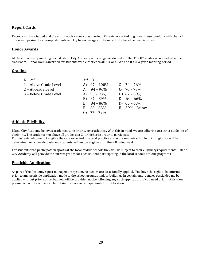#### **Report Cards**

Report cards are issued and the end of each 9-week class period. Parents are asked to go over these carefully with their child. Stress and praise the accomplishments and try to encourage additional effort where the need is shown.

#### **Honor Awards**

At the end of every marking period Island City Academy will recognize students in the  $3<sup>rd</sup> - 8<sup>th</sup>$  grades who excelled in the classroom. Honor Roll is awarded for students who either earn all A's, or all A's and B's in a given marking period.

#### **Grading**

| $K - 2nd$             | $3rd - 8th$     |                    |
|-----------------------|-----------------|--------------------|
| 1 – Above Grade Level | $A+97-100\%$    | $C = 74 - 76\%$    |
| 2 - At Grade Level    | $A = 94 - 96\%$ | $C - 70 - 73%$     |
| 3 – Below Grade Level | A- $90 - 93\%$  | $D+67-69%$         |
|                       | $B+ 87-89\%$    | D $64 - 66\%$      |
|                       | $B = 84 - 86\%$ | D- $60 - 63\%$     |
|                       | $B - 80 - 83\%$ | $E = 59\%$ - Below |
|                       | $C+ 77-79%$     |                    |

#### **Athletic Eligibility**

Island City Academy believes academics take priority over athletics. With this in mind, we are adhering to a strict guideline of eligibility. The students must have all grades at a C- or higher in order to participate.

For students who are not eligible they are expected to attend practice and work on their schoolwork. Eligibility will be determined on a weekly basis and students will not be eligible until the following week.

For students who participate in sports at the local middle schools they will be subject to their eligibility requirements. Island City Academy will provide the current grades for each student participating in the local schools athletic programs.

#### **Pesticide Application**

As part of the Academy's pest management system, pesticides are occasionally applied. You have the right to be informed prior to any pesticide application made to the school grounds and/or building. In certain emergencies pesticides ma be applied without prior notice, but you will be provided notice following any such application. If you need prior notification, please contact the office staff to obtain the necessary paperwork for notification.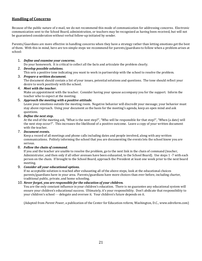#### **Handling of Concerns**

Because of the public nature of e-mail, we do not recommend this mode of communication for addressing concerns. Electronic communication sent to the School Board, administration, or teachers may be recognized as having been received, but will not be guaranteed consideration without verbal follow-up initiated by sender.

Parents/Guardians are more effective in handling concerns when they have a strategy rather than letting emotions get the best of them. With this in mind, here are ten simple steps we recommend for parents/guardians to follow when a problem arises at school:

#### 1. *Define and examine your concerns***.**

Do your homework. It is critical to collect all the facts and articulate the problem clearly.

#### 2. *Develop possible solutions.*

This sets a positive tone indicating you want to work in partnership with the school to resolve the problem.

3. *Prepare a written document.*

The document should contain a list of your issues, potential solutions and questions. The tone should reflect your desire to work positively with the school.

4. *Meet with the teacher.*

Make an appointment with the teacher. Consider having your spouse accompany you for the support. Inform the teacher who to expect at the meeting.

5. *Approach the meeting with a positive attitude.* 

Leave your emotions outside the meeting room. Negative behavior will discredit your message; your behavior must stay above reproach. Using your document as the basis for the meeting's agenda, keep an open mind and ask questions.

6. *Define the next step.*

At the end of the meeting ask, "What is the next step?", "Who will be responsible for that step?", "When (a date) will the next step occur?". This increases the likelihood of a positive outcome. Leave a copy of your written document with the teacher.

7. *Document events.*

Keep a record of all meetings and phone calls including dates and people involved, along with any written communications. Politely informing the school that you are documenting the events lets the school know you are serious.

8. *Follow the chain of command.*

If you and the teacher are unable to resolve the problem, go to the next link in the chain of command (teacher, Administrator, and then only if all other avenues have been exhausted, to the School Board). Use steps 1 -7 with each person on the chain. If brought to the School Board, approach the President at least one week prior to the next board meeting.

#### 9. *Consider all your educational options.*

If no acceptable solution is reached after exhausting all of the above steps, look at the educational choices parents/guardians have in your area. Parents/guardians have more choices than ever before, including charter, traditional public, private, and home schooling.

#### 10. *Never forget, you are responsible for the education of your children.*

You are the only constant influence in your children's education. There is no guarantee any educational system will ensure your children's educational success. Ultimately, it's your responsibility. Don't abdicate that responsibility to your children's school - - delegate and oversee it. Your children's future depends on it.

(Adapted from *Parent Power*, a publication of the Center for Education reform, Washington, D.C., www.edreform.com)